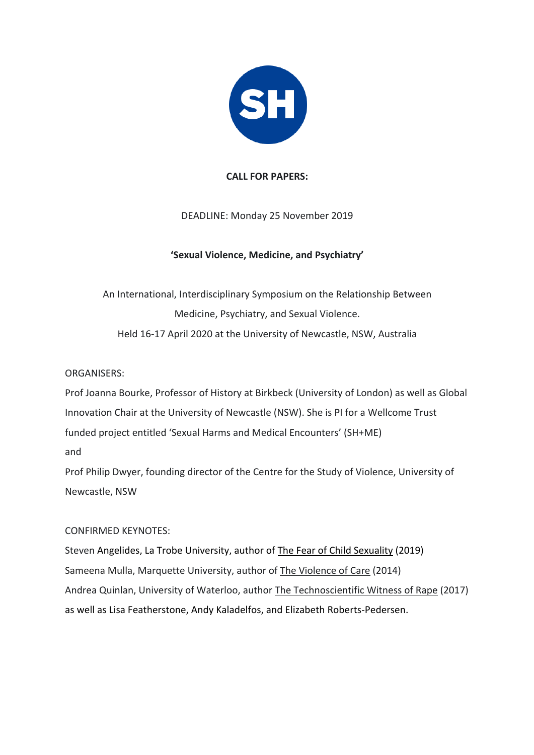

### **CALL FOR PAPERS:**

## DEADLINE: Monday 25 November 2019

## **'Sexual Violence, Medicine, and Psychiatry'**

# An International, Interdisciplinary Symposium on the Relationship Between Medicine, Psychiatry, and Sexual Violence. Held 16-17 April 2020 at the University of Newcastle, NSW, Australia

### ORGANISERS:

Prof Joanna Bourke, Professor of History at Birkbeck (University of London) as well as Global Innovation Chair at the University of Newcastle (NSW). She is PI for a Wellcome Trust funded project entitled 'Sexual Harms and Medical Encounters' (SH+ME) and

Prof Philip Dwyer, founding director of the Centre for the Study of Violence, University of Newcastle, NSW

#### CONFIRMED KEYNOTES:

Steven Angelides, La Trobe University, author of The Fear of Child Sexuality (2019) Sameena Mulla, Marquette University, author of The Violence of Care (2014) Andrea Quinlan, University of Waterloo, author The Technoscientific Witness of Rape (2017) as well as Lisa Featherstone, Andy Kaladelfos, and Elizabeth Roberts-Pedersen.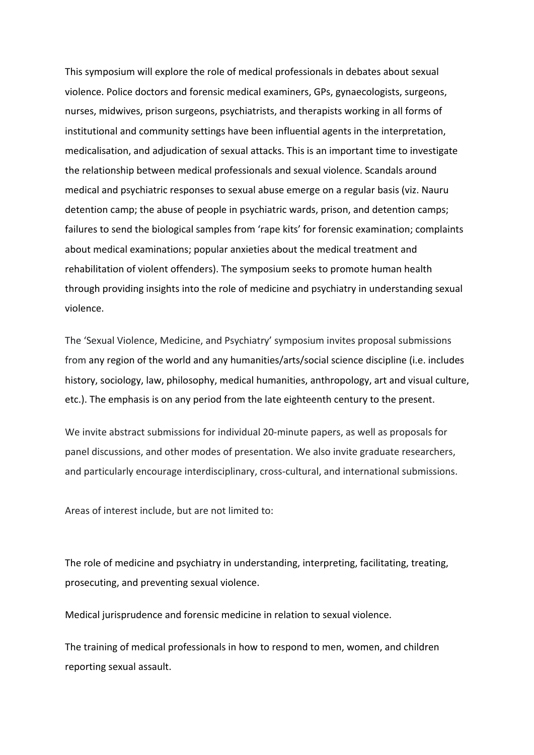This symposium will explore the role of medical professionals in debates about sexual violence. Police doctors and forensic medical examiners, GPs, gynaecologists, surgeons, nurses, midwives, prison surgeons, psychiatrists, and therapists working in all forms of institutional and community settings have been influential agents in the interpretation, medicalisation, and adjudication of sexual attacks. This is an important time to investigate the relationship between medical professionals and sexual violence. Scandals around medical and psychiatric responses to sexual abuse emerge on a regular basis (viz. Nauru detention camp; the abuse of people in psychiatric wards, prison, and detention camps; failures to send the biological samples from 'rape kits' for forensic examination; complaints about medical examinations; popular anxieties about the medical treatment and rehabilitation of violent offenders). The symposium seeks to promote human health through providing insights into the role of medicine and psychiatry in understanding sexual violence.

The 'Sexual Violence, Medicine, and Psychiatry' symposium invites proposal submissions from any region of the world and any humanities/arts/social science discipline (i.e. includes history, sociology, law, philosophy, medical humanities, anthropology, art and visual culture, etc.). The emphasis is on any period from the late eighteenth century to the present.

We invite abstract submissions for individual 20-minute papers, as well as proposals for panel discussions, and other modes of presentation. We also invite graduate researchers, and particularly encourage interdisciplinary, cross-cultural, and international submissions.

Areas of interest include, but are not limited to:

The role of medicine and psychiatry in understanding, interpreting, facilitating, treating, prosecuting, and preventing sexual violence.

Medical jurisprudence and forensic medicine in relation to sexual violence.

The training of medical professionals in how to respond to men, women, and children reporting sexual assault.